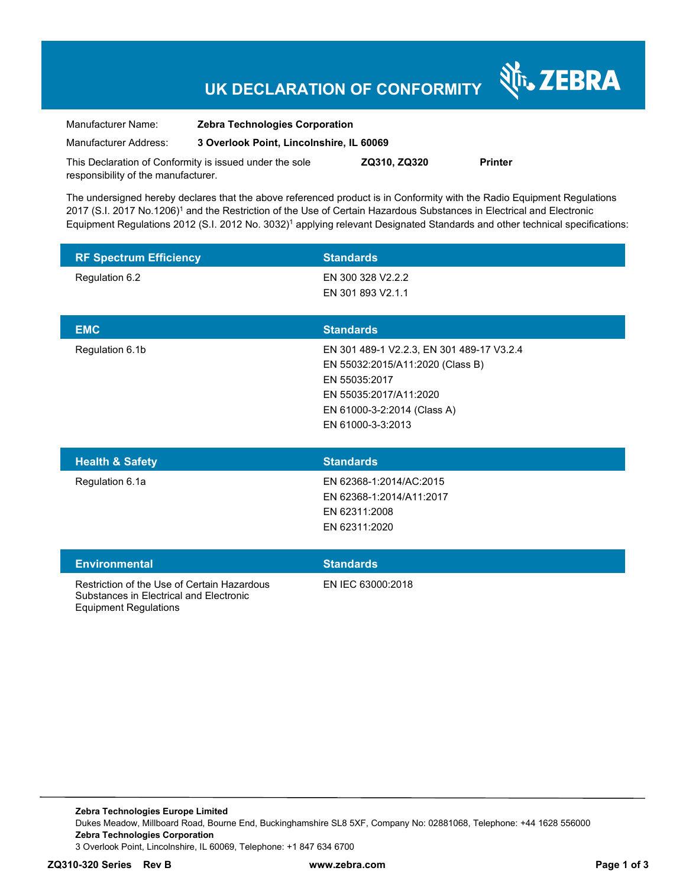# **UK DECLARATION OF CONFORMITY**

र्शे<sub>ं</sub> ZEBRA

| Manufacturer Name:                                      | <b>Zebra Technologies Corporation</b>    |              |                |
|---------------------------------------------------------|------------------------------------------|--------------|----------------|
| Manufacturer Address:                                   | 3 Overlook Point, Lincolnshire, IL 60069 |              |                |
| This Declaration of Conformity is issued under the sole |                                          | ZQ310, ZQ320 | <b>Printer</b> |

The undersigned hereby declares that the above referenced product is in Conformity with the Radio Equipment Regulations 2017 (S.I. 2017 No.1206)<sup>1</sup> and the Restriction of the Use of Certain Hazardous Substances in Electrical and Electronic Equipment Regulations 2012 (S.I. 2012 No. 3032)<sup>1</sup> applying relevant Designated Standards and other technical specifications:

| <b>RF Spectrum Efficiency</b> | <b>Standards</b>                                                                                                                                                             |
|-------------------------------|------------------------------------------------------------------------------------------------------------------------------------------------------------------------------|
| Regulation 6.2                | EN 300 328 V2.2.2<br>EN 301 893 V2.1.1                                                                                                                                       |
| <b>EMC</b>                    | <b>Standards</b>                                                                                                                                                             |
| Regulation 6.1b               | EN 301 489-1 V2.2.3, EN 301 489-17 V3.2.4<br>EN 55032:2015/A11:2020 (Class B)<br>EN 55035:2017<br>EN 55035:2017/A11:2020<br>EN 61000-3-2:2014 (Class A)<br>EN 61000-3-3:2013 |
| <b>Health &amp; Safety</b>    | <b>Standards</b>                                                                                                                                                             |
| Regulation 6.1a               | EN 62368-1:2014/AC:2015<br>EN 62368-1:2014/A11:2017<br>EN 62311:2008<br>EN 62311:2020                                                                                        |

#### **Environmental Standards**

responsibility of the manufacturer.

Restriction of the Use of Certain Hazardous Substances in Electrical and Electronic Equipment Regulations

EN IEC 63000:2018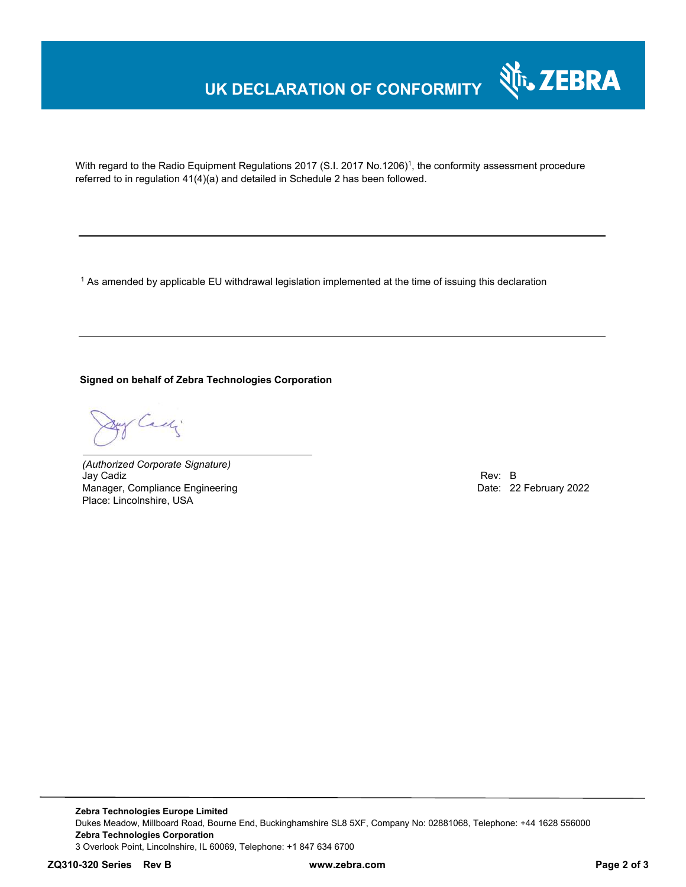## **UK DECLARATION OF CONFORMITY**



With regard to the Radio Equipment Regulations 2017 (S.I. 2017 No.1206)<sup>1</sup>, the conformity assessment procedure referred to in regulation 41(4)(a) and detailed in Schedule 2 has been followed.

 $^{\rm 1}$  As amended by applicable EU withdrawal legislation implemented at the time of issuing this declaration

#### **Signed on behalf of Zebra Technologies Corporation**

Cady

*(Authorized Corporate Signature)* Jay Cadiz Rev: B Manager, Compliance Engineering **Date: 22 February 2022** Place: Lincolnshire, USA